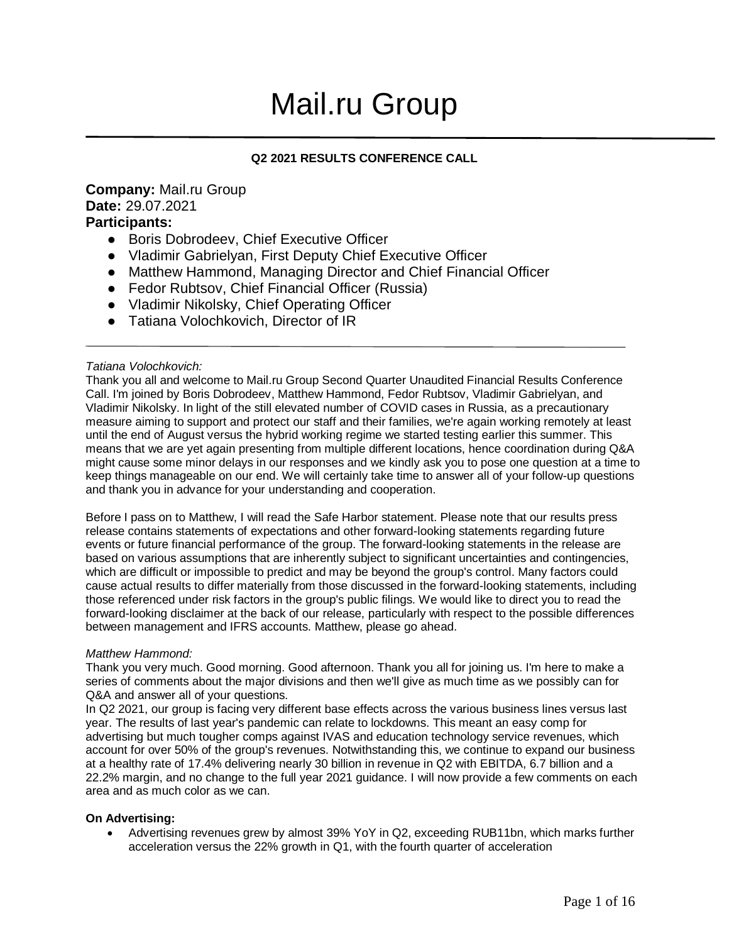# Mail.ru Group

### **Q2 2021 RESULTS CONFERENCE CALL**

#### **Company:** Mail.ru Group **Date:** 29.07.2021 **Participants:**

- Boris Dobrodeev, Chief Executive Officer
- Vladimir Gabrielyan, First Deputy Chief Executive Officer
- Matthew Hammond, Managing Director and Chief Financial Officer
- Fedor Rubtsov, Chief Financial Officer (Russia)
- Vladimir Nikolsky, Chief Operating Officer
- Tatiana Volochkovich, Director of IR

#### *Tatiana Volochkovich:*

Thank you all and welcome to Mail.ru Group Second Quarter Unaudited Financial Results Conference Call. I'm joined by Boris Dobrodeev, Matthew Hammond, Fedor Rubtsov, Vladimir Gabrielyan, and Vladimir Nikolsky. In light of the still elevated number of COVID cases in Russia, as a precautionary measure aiming to support and protect our staff and their families, we're again working remotely at least until the end of August versus the hybrid working regime we started testing earlier this summer. This means that we are yet again presenting from multiple different locations, hence coordination during Q&A might cause some minor delays in our responses and we kindly ask you to pose one question at a time to keep things manageable on our end. We will certainly take time to answer all of your follow-up questions and thank you in advance for your understanding and cooperation.

Before I pass on to Matthew, I will read the Safe Harbor statement. Please note that our results press release contains statements of expectations and other forward-looking statements regarding future events or future financial performance of the group. The forward-looking statements in the release are based on various assumptions that are inherently subject to significant uncertainties and contingencies, which are difficult or impossible to predict and may be beyond the group's control. Many factors could cause actual results to differ materially from those discussed in the forward-looking statements, including those referenced under risk factors in the group's public filings. We would like to direct you to read the forward-looking disclaimer at the back of our release, particularly with respect to the possible differences between management and IFRS accounts. Matthew, please go ahead.

#### *Matthew Hammond:*

Thank you very much. Good morning. Good afternoon. Thank you all for joining us. I'm here to make a series of comments about the major divisions and then we'll give as much time as we possibly can for Q&A and answer all of your questions.

In Q2 2021, our group is facing very different base effects across the various business lines versus last year. The results of last year's pandemic can relate to lockdowns. This meant an easy comp for advertising but much tougher comps against IVAS and education technology service revenues, which account for over 50% of the group's revenues. Notwithstanding this, we continue to expand our business at a healthy rate of 17.4% delivering nearly 30 billion in revenue in Q2 with EBITDA, 6.7 billion and a 22.2% margin, and no change to the full year 2021 guidance. I will now provide a few comments on each area and as much color as we can.

#### **On Advertising:**

 Advertising revenues grew by almost 39% YoY in Q2, exceeding RUB11bn, which marks further acceleration versus the 22% growth in Q1, with the fourth quarter of acceleration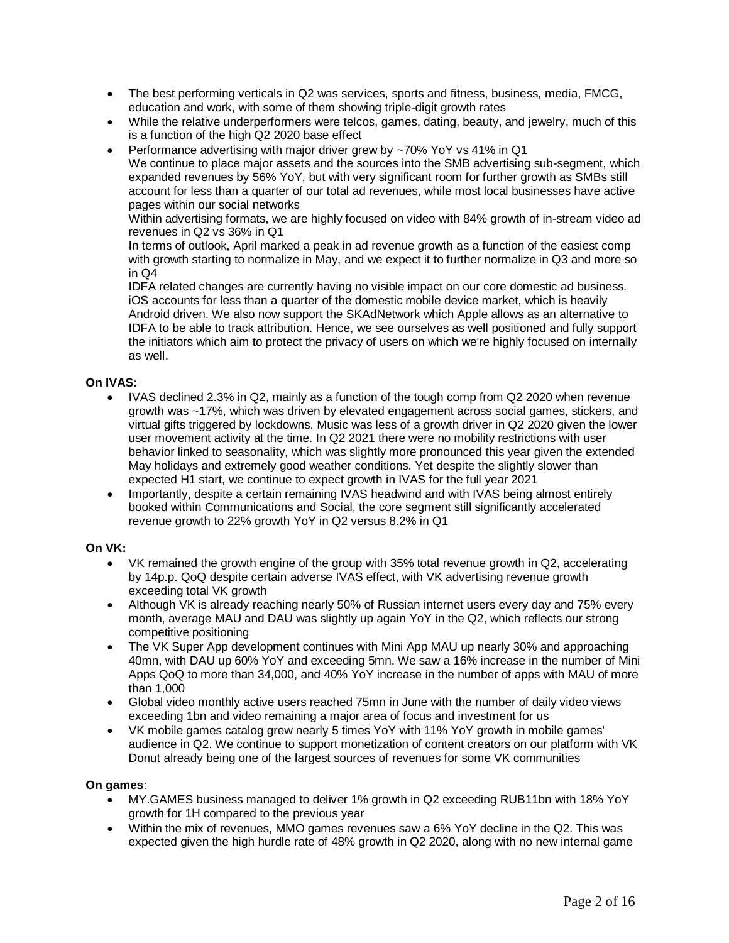- The best performing verticals in Q2 was services, sports and fitness, business, media, FMCG, education and work, with some of them showing triple-digit growth rates
- While the relative underperformers were telcos, games, dating, beauty, and jewelry, much of this is a function of the high Q2 2020 base effect
- Performance advertising with major driver grew by ~70% YoY vs 41% in Q1

We continue to place major assets and the sources into the SMB advertising sub-segment, which expanded revenues by 56% YoY, but with very significant room for further growth as SMBs still account for less than a quarter of our total ad revenues, while most local businesses have active pages within our social networks

Within advertising formats, we are highly focused on video with 84% growth of in-stream video ad revenues in Q2 vs 36% in Q1

In terms of outlook, April marked a peak in ad revenue growth as a function of the easiest comp with growth starting to normalize in May, and we expect it to further normalize in Q3 and more so in Q4

IDFA related changes are currently having no visible impact on our core domestic ad business. iOS accounts for less than a quarter of the domestic mobile device market, which is heavily Android driven. We also now support the SKAdNetwork which Apple allows as an alternative to IDFA to be able to track attribution. Hence, we see ourselves as well positioned and fully support the initiators which aim to protect the privacy of users on which we're highly focused on internally as well.

#### **On IVAS:**

- IVAS declined 2.3% in Q2, mainly as a function of the tough comp from Q2 2020 when revenue growth was ~17%, which was driven by elevated engagement across social games, stickers, and virtual gifts triggered by lockdowns. Music was less of a growth driver in Q2 2020 given the lower user movement activity at the time. In Q2 2021 there were no mobility restrictions with user behavior linked to seasonality, which was slightly more pronounced this year given the extended May holidays and extremely good weather conditions. Yet despite the slightly slower than expected H1 start, we continue to expect growth in IVAS for the full year 2021
- Importantly, despite a certain remaining IVAS headwind and with IVAS being almost entirely booked within Communications and Social, the core segment still significantly accelerated revenue growth to 22% growth YoY in Q2 versus 8.2% in Q1

#### **On VK:**

- VK remained the growth engine of the group with 35% total revenue growth in Q2, accelerating by 14p.p. QoQ despite certain adverse IVAS effect, with VK advertising revenue growth exceeding total VK growth
- Although VK is already reaching nearly 50% of Russian internet users every day and 75% every month, average MAU and DAU was slightly up again YoY in the Q2, which reflects our strong competitive positioning
- The VK Super App development continues with Mini App MAU up nearly 30% and approaching 40mn, with DAU up 60% YoY and exceeding 5mn. We saw a 16% increase in the number of Mini Apps QoQ to more than 34,000, and 40% YoY increase in the number of apps with MAU of more than 1,000
- Global video monthly active users reached 75mn in June with the number of daily video views exceeding 1bn and video remaining a major area of focus and investment for us
- VK mobile games catalog grew nearly 5 times YoY with 11% YoY growth in mobile games' audience in Q2. We continue to support monetization of content creators on our platform with VK Donut already being one of the largest sources of revenues for some VK communities

#### **On games**:

- MY.GAMES business managed to deliver 1% growth in Q2 exceeding RUB11bn with 18% YoY growth for 1H compared to the previous year
- Within the mix of revenues, MMO games revenues saw a 6% YoY decline in the Q2. This was expected given the high hurdle rate of 48% growth in Q2 2020, along with no new internal game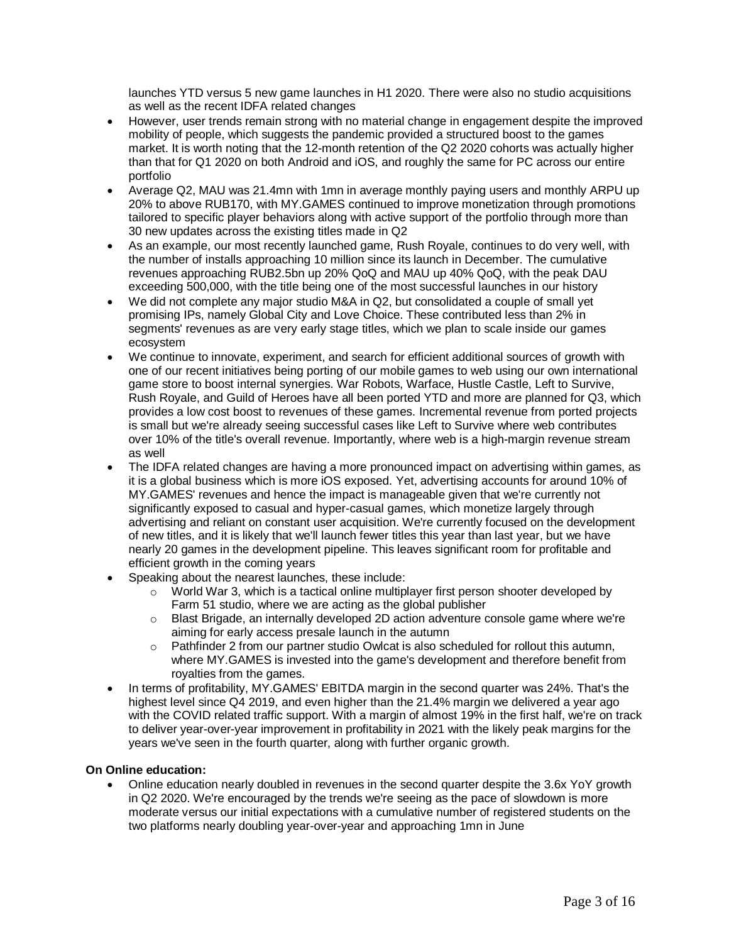launches YTD versus 5 new game launches in H1 2020. There were also no studio acquisitions as well as the recent IDFA related changes

- However, user trends remain strong with no material change in engagement despite the improved mobility of people, which suggests the pandemic provided a structured boost to the games market. It is worth noting that the 12-month retention of the Q2 2020 cohorts was actually higher than that for Q1 2020 on both Android and iOS, and roughly the same for PC across our entire portfolio
- Average Q2, MAU was 21.4mn with 1mn in average monthly paying users and monthly ARPU up 20% to above RUB170, with MY.GAMES continued to improve monetization through promotions tailored to specific player behaviors along with active support of the portfolio through more than 30 new updates across the existing titles made in Q2
- As an example, our most recently launched game, Rush Royale, continues to do very well, with the number of installs approaching 10 million since its launch in December. The cumulative revenues approaching RUB2.5bn up 20% QoQ and MAU up 40% QoQ, with the peak DAU exceeding 500,000, with the title being one of the most successful launches in our history
- We did not complete any major studio M&A in Q2, but consolidated a couple of small yet promising IPs, namely Global City and Love Choice. These contributed less than 2% in segments' revenues as are very early stage titles, which we plan to scale inside our games ecosystem
- We continue to innovate, experiment, and search for efficient additional sources of growth with one of our recent initiatives being porting of our mobile games to web using our own international game store to boost internal synergies. War Robots, Warface, Hustle Castle, Left to Survive, Rush Royale, and Guild of Heroes have all been ported YTD and more are planned for Q3, which provides a low cost boost to revenues of these games. Incremental revenue from ported projects is small but we're already seeing successful cases like Left to Survive where web contributes over 10% of the title's overall revenue. Importantly, where web is a high-margin revenue stream as well
- The IDFA related changes are having a more pronounced impact on advertising within games, as it is a global business which is more iOS exposed. Yet, advertising accounts for around 10% of MY.GAMES' revenues and hence the impact is manageable given that we're currently not significantly exposed to casual and hyper-casual games, which monetize largely through advertising and reliant on constant user acquisition. We're currently focused on the development of new titles, and it is likely that we'll launch fewer titles this year than last year, but we have nearly 20 games in the development pipeline. This leaves significant room for profitable and efficient growth in the coming years
- Speaking about the nearest launches, these include:
	- $\circ$  World War 3, which is a tactical online multiplayer first person shooter developed by Farm 51 studio, where we are acting as the global publisher
	- o Blast Brigade, an internally developed 2D action adventure console game where we're aiming for early access presale launch in the autumn
	- $\circ$  Pathfinder 2 from our partner studio Owlcat is also scheduled for rollout this autumn, where MY.GAMES is invested into the game's development and therefore benefit from royalties from the games.
- In terms of profitability, MY.GAMES' EBITDA margin in the second quarter was 24%. That's the highest level since Q4 2019, and even higher than the 21.4% margin we delivered a year ago with the COVID related traffic support. With a margin of almost 19% in the first half, we're on track to deliver year-over-year improvement in profitability in 2021 with the likely peak margins for the years we've seen in the fourth quarter, along with further organic growth.

#### **On Online education:**

 Online education nearly doubled in revenues in the second quarter despite the 3.6x YoY growth in Q2 2020. We're encouraged by the trends we're seeing as the pace of slowdown is more moderate versus our initial expectations with a cumulative number of registered students on the two platforms nearly doubling year-over-year and approaching 1mn in June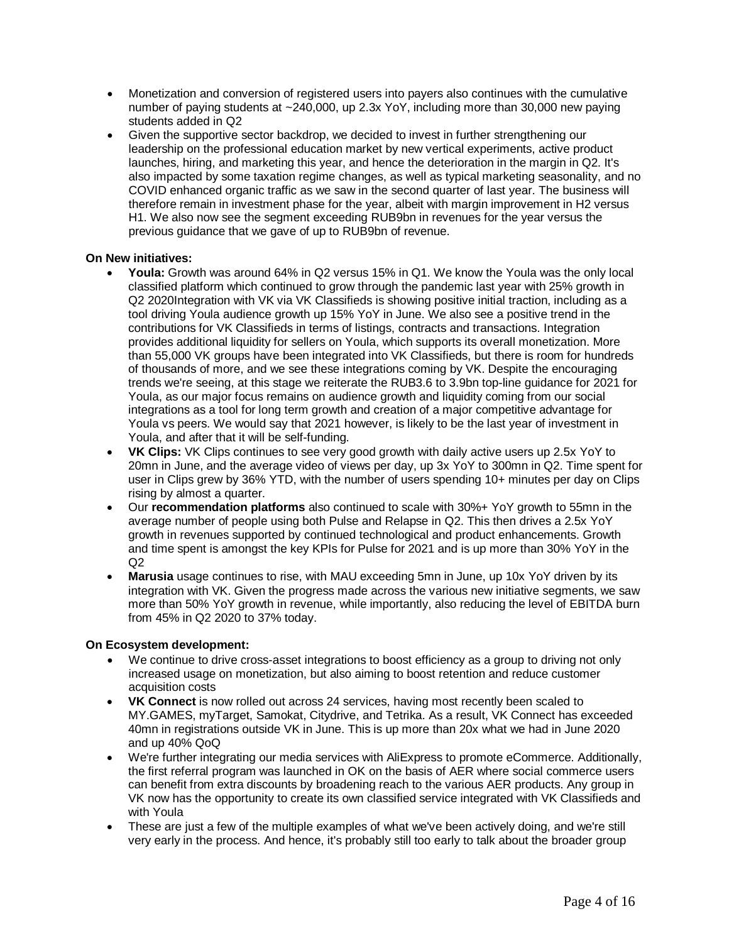- Monetization and conversion of registered users into payers also continues with the cumulative number of paying students at ~240,000, up 2.3x YoY, including more than 30,000 new paying students added in Q2
- Given the supportive sector backdrop, we decided to invest in further strengthening our leadership on the professional education market by new vertical experiments, active product launches, hiring, and marketing this year, and hence the deterioration in the margin in Q2. It's also impacted by some taxation regime changes, as well as typical marketing seasonality, and no COVID enhanced organic traffic as we saw in the second quarter of last year. The business will therefore remain in investment phase for the year, albeit with margin improvement in H2 versus H1. We also now see the segment exceeding RUB9bn in revenues for the year versus the previous guidance that we gave of up to RUB9bn of revenue.

#### **On New initiatives:**

- **Youla:** Growth was around 64% in Q2 versus 15% in Q1. We know the Youla was the only local classified platform which continued to grow through the pandemic last year with 25% growth in Q2 2020Integration with VK via VK Classifieds is showing positive initial traction, including as a tool driving Youla audience growth up 15% YoY in June. We also see a positive trend in the contributions for VK Classifieds in terms of listings, contracts and transactions. Integration provides additional liquidity for sellers on Youla, which supports its overall monetization. More than 55,000 VK groups have been integrated into VK Classifieds, but there is room for hundreds of thousands of more, and we see these integrations coming by VK. Despite the encouraging trends we're seeing, at this stage we reiterate the RUB3.6 to 3.9bn top-line guidance for 2021 for Youla, as our major focus remains on audience growth and liquidity coming from our social integrations as a tool for long term growth and creation of a major competitive advantage for Youla vs peers. We would say that 2021 however, is likely to be the last year of investment in Youla, and after that it will be self-funding.
- **VK Clips:** VK Clips continues to see very good growth with daily active users up 2.5x YoY to 20mn in June, and the average video of views per day, up 3x YoY to 300mn in Q2. Time spent for user in Clips grew by 36% YTD, with the number of users spending 10+ minutes per day on Clips rising by almost a quarter.
- Our **recommendation platforms** also continued to scale with 30%+ YoY growth to 55mn in the average number of people using both Pulse and Relapse in Q2. This then drives a 2.5x YoY growth in revenues supported by continued technological and product enhancements. Growth and time spent is amongst the key KPIs for Pulse for 2021 and is up more than 30% YoY in the  $Q<sub>2</sub>$
- **Marusia** usage continues to rise, with MAU exceeding 5mn in June, up 10x YoY driven by its integration with VK. Given the progress made across the various new initiative segments, we saw more than 50% YoY growth in revenue, while importantly, also reducing the level of EBITDA burn from 45% in Q2 2020 to 37% today.

#### **On Ecosystem development:**

- We continue to drive cross-asset integrations to boost efficiency as a group to driving not only increased usage on monetization, but also aiming to boost retention and reduce customer acquisition costs
- **VK Connect** is now rolled out across 24 services, having most recently been scaled to MY.GAMES, myTarget, Samokat, Citydrive, and Tetrika. As a result, VK Connect has exceeded 40mn in registrations outside VK in June. This is up more than 20x what we had in June 2020 and up 40% QoQ
- We're further integrating our media services with AliExpress to promote eCommerce. Additionally, the first referral program was launched in OK on the basis of AER where social commerce users can benefit from extra discounts by broadening reach to the various AER products. Any group in VK now has the opportunity to create its own classified service integrated with VK Classifieds and with Youla
- These are just a few of the multiple examples of what we've been actively doing, and we're still very early in the process. And hence, it's probably still too early to talk about the broader group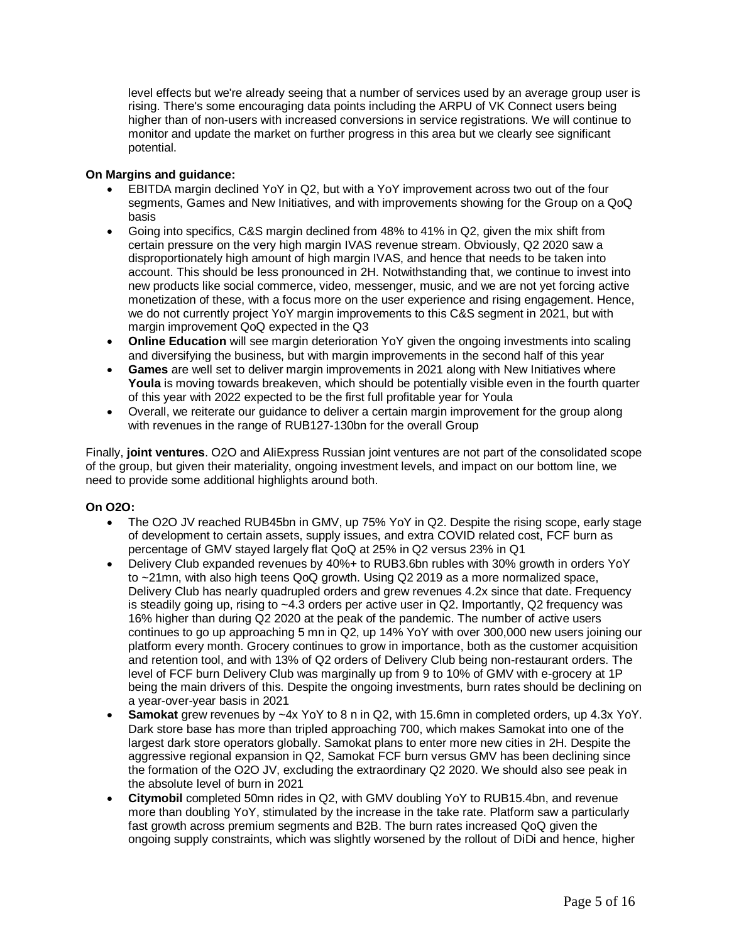level effects but we're already seeing that a number of services used by an average group user is rising. There's some encouraging data points including the ARPU of VK Connect users being higher than of non-users with increased conversions in service registrations. We will continue to monitor and update the market on further progress in this area but we clearly see significant potential.

#### **On Margins and guidance:**

- EBITDA margin declined YoY in Q2, but with a YoY improvement across two out of the four segments, Games and New Initiatives, and with improvements showing for the Group on a QoQ basis
- Going into specifics, C&S margin declined from 48% to 41% in Q2, given the mix shift from certain pressure on the very high margin IVAS revenue stream. Obviously, Q2 2020 saw a disproportionately high amount of high margin IVAS, and hence that needs to be taken into account. This should be less pronounced in 2H. Notwithstanding that, we continue to invest into new products like social commerce, video, messenger, music, and we are not yet forcing active monetization of these, with a focus more on the user experience and rising engagement. Hence, we do not currently project YoY margin improvements to this C&S segment in 2021, but with margin improvement QoQ expected in the Q3
- **Online Education** will see margin deterioration YoY given the ongoing investments into scaling and diversifying the business, but with margin improvements in the second half of this year
- **Games** are well set to deliver margin improvements in 2021 along with New Initiatives where **Youla** is moving towards breakeven, which should be potentially visible even in the fourth quarter of this year with 2022 expected to be the first full profitable year for Youla
- Overall, we reiterate our guidance to deliver a certain margin improvement for the group along with revenues in the range of RUB127-130bn for the overall Group

Finally, **joint ventures**. O2O and AliExpress Russian joint ventures are not part of the consolidated scope of the group, but given their materiality, ongoing investment levels, and impact on our bottom line, we need to provide some additional highlights around both.

#### **On O2O:**

- The O2O JV reached RUB45bn in GMV, up 75% YoY in Q2. Despite the rising scope, early stage of development to certain assets, supply issues, and extra COVID related cost, FCF burn as percentage of GMV stayed largely flat QoQ at 25% in Q2 versus 23% in Q1
- Delivery Club expanded revenues by 40%+ to RUB3.6bn rubles with 30% growth in orders YoY to ~21mn, with also high teens QoQ growth. Using Q2 2019 as a more normalized space, Delivery Club has nearly quadrupled orders and grew revenues 4.2x since that date. Frequency is steadily going up, rising to ~4.3 orders per active user in Q2. Importantly, Q2 frequency was 16% higher than during Q2 2020 at the peak of the pandemic. The number of active users continues to go up approaching 5 mn in Q2, up 14% YoY with over 300,000 new users joining our platform every month. Grocery continues to grow in importance, both as the customer acquisition and retention tool, and with 13% of Q2 orders of Delivery Club being non-restaurant orders. The level of FCF burn Delivery Club was marginally up from 9 to 10% of GMV with e-grocery at 1P being the main drivers of this. Despite the ongoing investments, burn rates should be declining on a year-over-year basis in 2021
- **Samokat** grew revenues by ~4x YoY to 8 n in Q2, with 15.6mn in completed orders, up 4.3x YoY. Dark store base has more than tripled approaching 700, which makes Samokat into one of the largest dark store operators globally. Samokat plans to enter more new cities in 2H. Despite the aggressive regional expansion in Q2, Samokat FCF burn versus GMV has been declining since the formation of the O2O JV, excluding the extraordinary Q2 2020. We should also see peak in the absolute level of burn in 2021
- **Citymobil** completed 50mn rides in Q2, with GMV doubling YoY to RUB15.4bn, and revenue more than doubling YoY, stimulated by the increase in the take rate. Platform saw a particularly fast growth across premium segments and B2B. The burn rates increased QoQ given the ongoing supply constraints, which was slightly worsened by the rollout of DiDi and hence, higher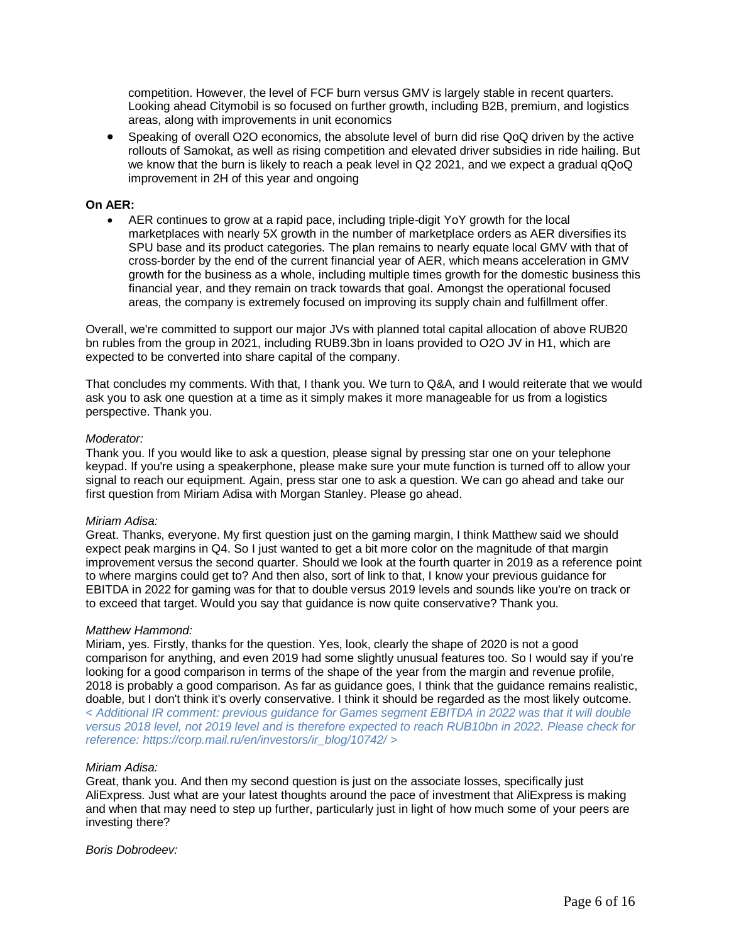competition. However, the level of FCF burn versus GMV is largely stable in recent quarters. Looking ahead Citymobil is so focused on further growth, including B2B, premium, and logistics areas, along with improvements in unit economics

 Speaking of overall O2O economics, the absolute level of burn did rise QoQ driven by the active rollouts of Samokat, as well as rising competition and elevated driver subsidies in ride hailing. But we know that the burn is likely to reach a peak level in Q2 2021, and we expect a gradual qQoQ improvement in 2H of this year and ongoing

#### **On AER:**

 AER continues to grow at a rapid pace, including triple-digit YoY growth for the local marketplaces with nearly 5X growth in the number of marketplace orders as AER diversifies its SPU base and its product categories. The plan remains to nearly equate local GMV with that of cross-border by the end of the current financial year of AER, which means acceleration in GMV growth for the business as a whole, including multiple times growth for the domestic business this financial year, and they remain on track towards that goal. Amongst the operational focused areas, the company is extremely focused on improving its supply chain and fulfillment offer.

Overall, we're committed to support our major JVs with planned total capital allocation of above RUB20 bn rubles from the group in 2021, including RUB9.3bn in loans provided to O2O JV in H1, which are expected to be converted into share capital of the company.

That concludes my comments. With that, I thank you. We turn to Q&A, and I would reiterate that we would ask you to ask one question at a time as it simply makes it more manageable for us from a logistics perspective. Thank you.

#### *Moderator:*

Thank you. If you would like to ask a question, please signal by pressing star one on your telephone keypad. If you're using a speakerphone, please make sure your mute function is turned off to allow your signal to reach our equipment. Again, press star one to ask a question. We can go ahead and take our first question from Miriam Adisa with Morgan Stanley. Please go ahead.

#### *Miriam Adisa:*

Great. Thanks, everyone. My first question just on the gaming margin, I think Matthew said we should expect peak margins in Q4. So I just wanted to get a bit more color on the magnitude of that margin improvement versus the second quarter. Should we look at the fourth quarter in 2019 as a reference point to where margins could get to? And then also, sort of link to that, I know your previous guidance for EBITDA in 2022 for gaming was for that to double versus 2019 levels and sounds like you're on track or to exceed that target. Would you say that guidance is now quite conservative? Thank you.

#### *Matthew Hammond:*

Miriam, yes. Firstly, thanks for the question. Yes, look, clearly the shape of 2020 is not a good comparison for anything, and even 2019 had some slightly unusual features too. So I would say if you're looking for a good comparison in terms of the shape of the year from the margin and revenue profile, 2018 is probably a good comparison. As far as guidance goes, I think that the guidance remains realistic, doable, but I don't think it's overly conservative. I think it should be regarded as the most likely outcome. *< Additional IR comment: previous guidance for Games segment EBITDA in 2022 was that it will double versus 2018 level, not 2019 level and is therefore expected to reach RUB10bn in 2022. Please check for reference: https://corp.mail.ru/en/investors/ir\_blog/10742/ >*

#### *Miriam Adisa:*

Great, thank you. And then my second question is just on the associate losses, specifically just AliExpress. Just what are your latest thoughts around the pace of investment that AliExpress is making and when that may need to step up further, particularly just in light of how much some of your peers are investing there?

#### *Boris Dobrodeev:*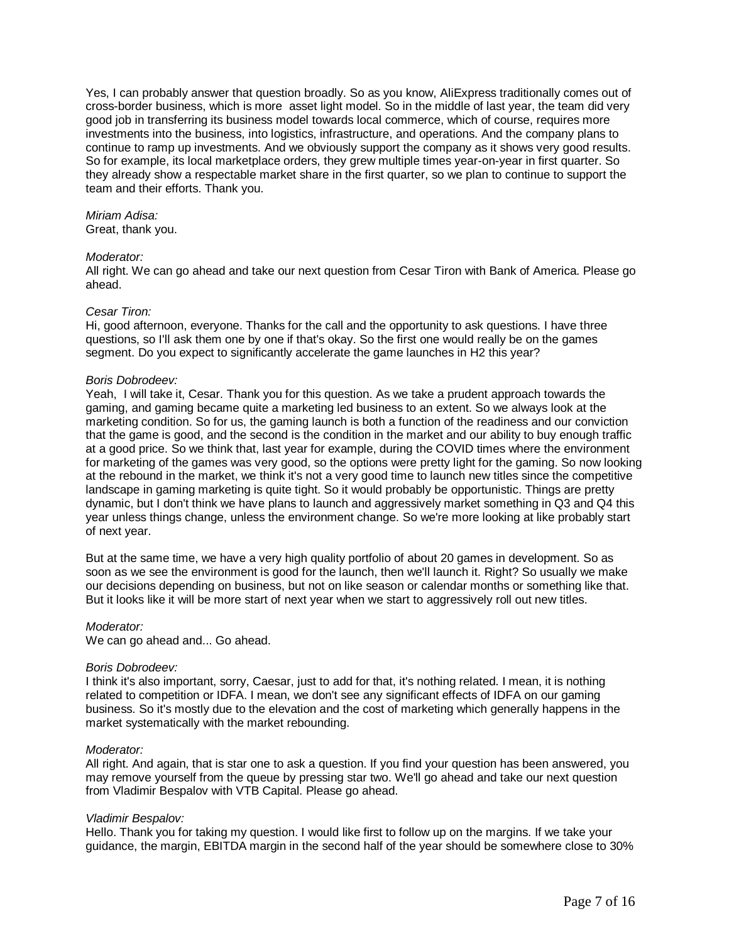Yes, I can probably answer that question broadly. So as you know, AliExpress traditionally comes out of cross-border business, which is more asset light model. So in the middle of last year, the team did very good job in transferring its business model towards local commerce, which of course, requires more investments into the business, into logistics, infrastructure, and operations. And the company plans to continue to ramp up investments. And we obviously support the company as it shows very good results. So for example, its local marketplace orders, they grew multiple times year-on-year in first quarter. So they already show a respectable market share in the first quarter, so we plan to continue to support the team and their efforts. Thank you.

#### *Miriam Adisa:*

Great, thank you.

#### *Moderator:*

All right. We can go ahead and take our next question from Cesar Tiron with Bank of America. Please go ahead.

#### *Cesar Tiron:*

Hi, good afternoon, everyone. Thanks for the call and the opportunity to ask questions. I have three questions, so I'll ask them one by one if that's okay. So the first one would really be on the games segment. Do you expect to significantly accelerate the game launches in H2 this year?

#### *Boris Dobrodeev:*

Yeah, I will take it, Cesar. Thank you for this question. As we take a prudent approach towards the gaming, and gaming became quite a marketing led business to an extent. So we always look at the marketing condition. So for us, the gaming launch is both a function of the readiness and our conviction that the game is good, and the second is the condition in the market and our ability to buy enough traffic at a good price. So we think that, last year for example, during the COVID times where the environment for marketing of the games was very good, so the options were pretty light for the gaming. So now looking at the rebound in the market, we think it's not a very good time to launch new titles since the competitive landscape in gaming marketing is quite tight. So it would probably be opportunistic. Things are pretty dynamic, but I don't think we have plans to launch and aggressively market something in Q3 and Q4 this year unless things change, unless the environment change. So we're more looking at like probably start of next year.

But at the same time, we have a very high quality portfolio of about 20 games in development. So as soon as we see the environment is good for the launch, then we'll launch it. Right? So usually we make our decisions depending on business, but not on like season or calendar months or something like that. But it looks like it will be more start of next year when we start to aggressively roll out new titles.

#### *Moderator:*

We can go ahead and... Go ahead.

#### *Boris Dobrodeev:*

I think it's also important, sorry, Caesar, just to add for that, it's nothing related. I mean, it is nothing related to competition or IDFA. I mean, we don't see any significant effects of IDFA on our gaming business. So it's mostly due to the elevation and the cost of marketing which generally happens in the market systematically with the market rebounding.

#### *Moderator:*

All right. And again, that is star one to ask a question. If you find your question has been answered, you may remove yourself from the queue by pressing star two. We'll go ahead and take our next question from Vladimir Bespalov with VTB Capital. Please go ahead.

#### *Vladimir Bespalov:*

Hello. Thank you for taking my question. I would like first to follow up on the margins. If we take your guidance, the margin, EBITDA margin in the second half of the year should be somewhere close to 30%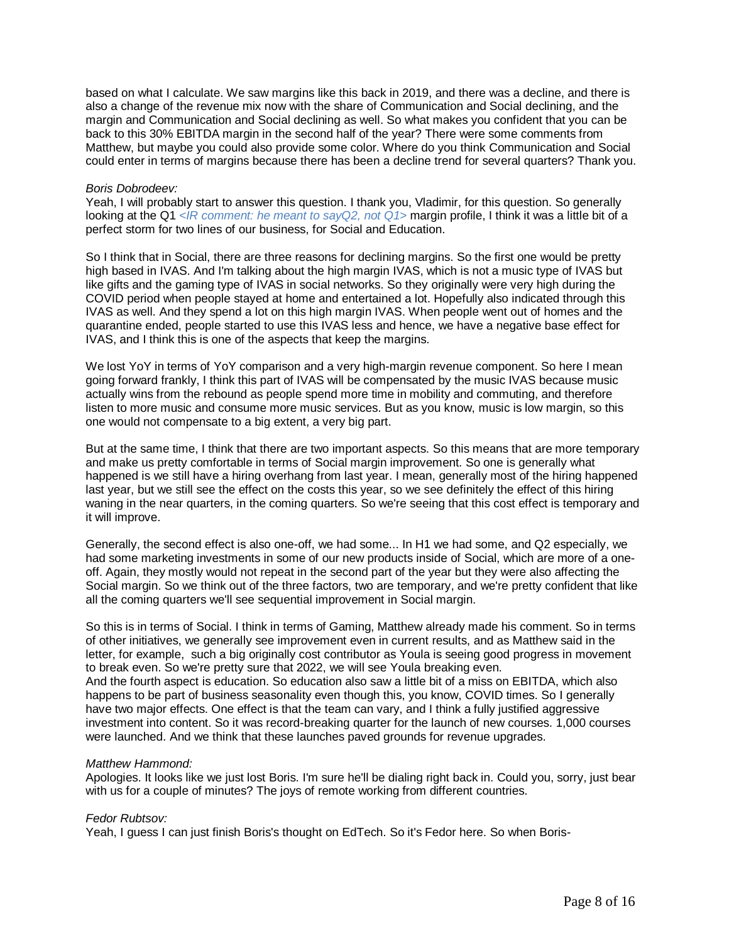based on what I calculate. We saw margins like this back in 2019, and there was a decline, and there is also a change of the revenue mix now with the share of Communication and Social declining, and the margin and Communication and Social declining as well. So what makes you confident that you can be back to this 30% EBITDA margin in the second half of the year? There were some comments from Matthew, but maybe you could also provide some color. Where do you think Communication and Social could enter in terms of margins because there has been a decline trend for several quarters? Thank you.

#### *Boris Dobrodeev:*

Yeah, I will probably start to answer this question. I thank you, Vladimir, for this question. So generally looking at the Q1 *<IR comment: he meant to sayQ2, not Q1>* margin profile, I think it was a little bit of a perfect storm for two lines of our business, for Social and Education.

So I think that in Social, there are three reasons for declining margins. So the first one would be pretty high based in IVAS. And I'm talking about the high margin IVAS, which is not a music type of IVAS but like gifts and the gaming type of IVAS in social networks. So they originally were very high during the COVID period when people stayed at home and entertained a lot. Hopefully also indicated through this IVAS as well. And they spend a lot on this high margin IVAS. When people went out of homes and the quarantine ended, people started to use this IVAS less and hence, we have a negative base effect for IVAS, and I think this is one of the aspects that keep the margins.

We lost YoY in terms of YoY comparison and a very high-margin revenue component. So here I mean going forward frankly, I think this part of IVAS will be compensated by the music IVAS because music actually wins from the rebound as people spend more time in mobility and commuting, and therefore listen to more music and consume more music services. But as you know, music is low margin, so this one would not compensate to a big extent, a very big part.

But at the same time, I think that there are two important aspects. So this means that are more temporary and make us pretty comfortable in terms of Social margin improvement. So one is generally what happened is we still have a hiring overhang from last year. I mean, generally most of the hiring happened last year, but we still see the effect on the costs this year, so we see definitely the effect of this hiring waning in the near quarters, in the coming quarters. So we're seeing that this cost effect is temporary and it will improve.

Generally, the second effect is also one-off, we had some... In H1 we had some, and Q2 especially, we had some marketing investments in some of our new products inside of Social, which are more of a oneoff. Again, they mostly would not repeat in the second part of the year but they were also affecting the Social margin. So we think out of the three factors, two are temporary, and we're pretty confident that like all the coming quarters we'll see sequential improvement in Social margin.

So this is in terms of Social. I think in terms of Gaming, Matthew already made his comment. So in terms of other initiatives, we generally see improvement even in current results, and as Matthew said in the letter, for example, such a big originally cost contributor as Youla is seeing good progress in movement to break even. So we're pretty sure that 2022, we will see Youla breaking even. And the fourth aspect is education. So education also saw a little bit of a miss on EBITDA, which also happens to be part of business seasonality even though this, you know, COVID times. So I generally have two major effects. One effect is that the team can vary, and I think a fully justified aggressive investment into content. So it was record-breaking quarter for the launch of new courses. 1,000 courses were launched. And we think that these launches paved grounds for revenue upgrades.

#### *Matthew Hammond:*

Apologies. It looks like we just lost Boris. I'm sure he'll be dialing right back in. Could you, sorry, just bear with us for a couple of minutes? The joys of remote working from different countries.

#### *Fedor Rubtsov:*

Yeah, I guess I can just finish Boris's thought on EdTech. So it's Fedor here. So when Boris-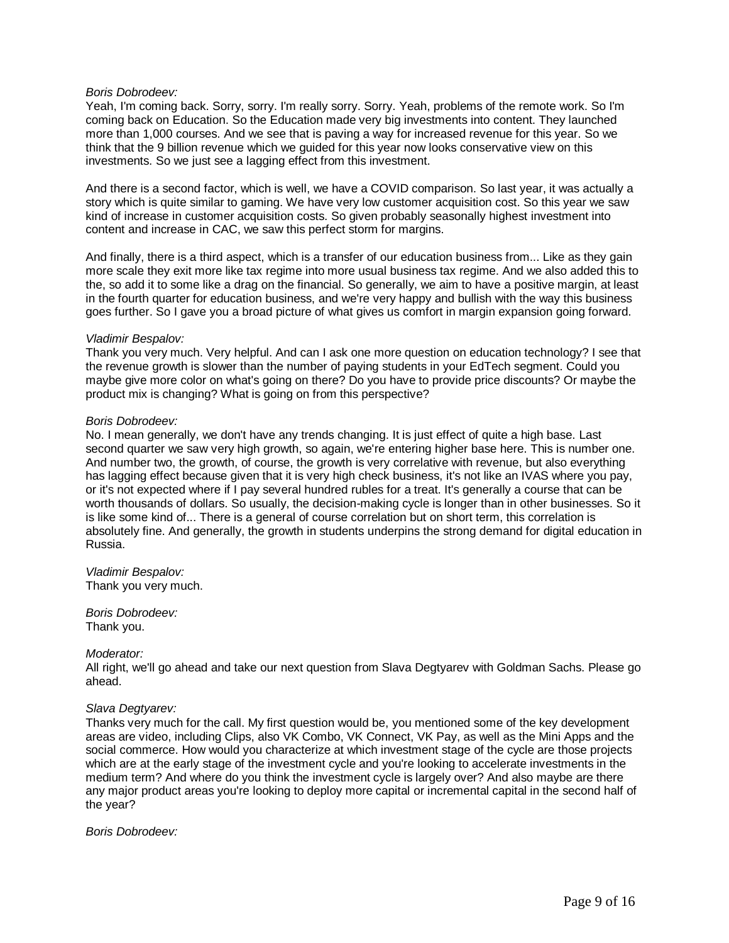#### *Boris Dobrodeev:*

Yeah, I'm coming back. Sorry, sorry. I'm really sorry. Sorry. Yeah, problems of the remote work. So I'm coming back on Education. So the Education made very big investments into content. They launched more than 1,000 courses. And we see that is paving a way for increased revenue for this year. So we think that the 9 billion revenue which we guided for this year now looks conservative view on this investments. So we just see a lagging effect from this investment.

And there is a second factor, which is well, we have a COVID comparison. So last year, it was actually a story which is quite similar to gaming. We have very low customer acquisition cost. So this year we saw kind of increase in customer acquisition costs. So given probably seasonally highest investment into content and increase in CAC, we saw this perfect storm for margins.

And finally, there is a third aspect, which is a transfer of our education business from... Like as they gain more scale they exit more like tax regime into more usual business tax regime. And we also added this to the, so add it to some like a drag on the financial. So generally, we aim to have a positive margin, at least in the fourth quarter for education business, and we're very happy and bullish with the way this business goes further. So I gave you a broad picture of what gives us comfort in margin expansion going forward.

#### *Vladimir Bespalov:*

Thank you very much. Very helpful. And can I ask one more question on education technology? I see that the revenue growth is slower than the number of paying students in your EdTech segment. Could you maybe give more color on what's going on there? Do you have to provide price discounts? Or maybe the product mix is changing? What is going on from this perspective?

#### *Boris Dobrodeev:*

No. I mean generally, we don't have any trends changing. It is just effect of quite a high base. Last second quarter we saw very high growth, so again, we're entering higher base here. This is number one. And number two, the growth, of course, the growth is very correlative with revenue, but also everything has lagging effect because given that it is very high check business, it's not like an IVAS where you pay, or it's not expected where if I pay several hundred rubles for a treat. It's generally a course that can be worth thousands of dollars. So usually, the decision-making cycle is longer than in other businesses. So it is like some kind of... There is a general of course correlation but on short term, this correlation is absolutely fine. And generally, the growth in students underpins the strong demand for digital education in Russia.

#### *Vladimir Bespalov:* Thank you very much.

*Boris Dobrodeev:* Thank you.

*Moderator:* All right, we'll go ahead and take our next question from Slava Degtyarev with Goldman Sachs. Please go ahead.

#### *Slava Degtyarev:*

Thanks very much for the call. My first question would be, you mentioned some of the key development areas are video, including Clips, also VK Combo, VK Connect, VK Pay, as well as the Mini Apps and the social commerce. How would you characterize at which investment stage of the cycle are those projects which are at the early stage of the investment cycle and you're looking to accelerate investments in the medium term? And where do you think the investment cycle is largely over? And also maybe are there any major product areas you're looking to deploy more capital or incremental capital in the second half of the year?

#### *Boris Dobrodeev:*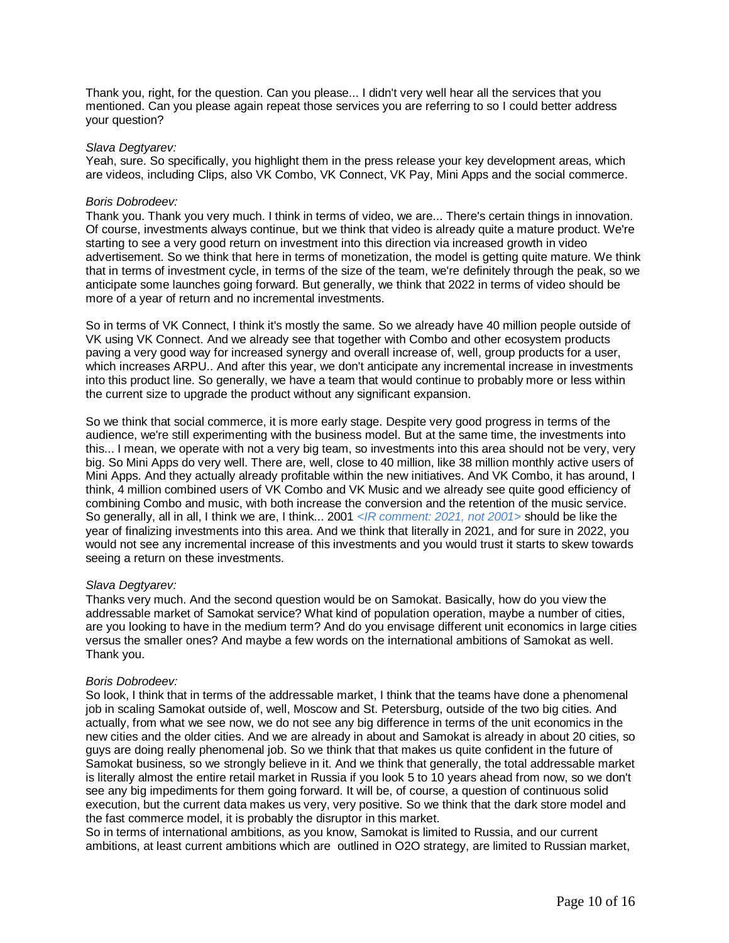Thank you, right, for the question. Can you please... I didn't very well hear all the services that you mentioned. Can you please again repeat those services you are referring to so I could better address your question?

#### *Slava Degtyarev:*

Yeah, sure. So specifically, you highlight them in the press release your key development areas, which are videos, including Clips, also VK Combo, VK Connect, VK Pay, Mini Apps and the social commerce.

#### *Boris Dobrodeev:*

Thank you. Thank you very much. I think in terms of video, we are... There's certain things in innovation. Of course, investments always continue, but we think that video is already quite a mature product. We're starting to see a very good return on investment into this direction via increased growth in video advertisement. So we think that here in terms of monetization, the model is getting quite mature. We think that in terms of investment cycle, in terms of the size of the team, we're definitely through the peak, so we anticipate some launches going forward. But generally, we think that 2022 in terms of video should be more of a year of return and no incremental investments.

So in terms of VK Connect, I think it's mostly the same. So we already have 40 million people outside of VK using VK Connect. And we already see that together with Combo and other ecosystem products paving a very good way for increased synergy and overall increase of, well, group products for a user, which increases ARPU.. And after this year, we don't anticipate any incremental increase in investments into this product line. So generally, we have a team that would continue to probably more or less within the current size to upgrade the product without any significant expansion.

So we think that social commerce, it is more early stage. Despite very good progress in terms of the audience, we're still experimenting with the business model. But at the same time, the investments into this... I mean, we operate with not a very big team, so investments into this area should not be very, very big. So Mini Apps do very well. There are, well, close to 40 million, like 38 million monthly active users of Mini Apps. And they actually already profitable within the new initiatives. And VK Combo, it has around, I think, 4 million combined users of VK Combo and VK Music and we already see quite good efficiency of combining Combo and music, with both increase the conversion and the retention of the music service. So generally, all in all, I think we are, I think... 2001 *<IR comment: 2021, not 2001>* should be like the year of finalizing investments into this area. And we think that literally in 2021, and for sure in 2022, you would not see any incremental increase of this investments and you would trust it starts to skew towards seeing a return on these investments.

#### *Slava Degtyarev:*

Thanks very much. And the second question would be on Samokat. Basically, how do you view the addressable market of Samokat service? What kind of population operation, maybe a number of cities, are you looking to have in the medium term? And do you envisage different unit economics in large cities versus the smaller ones? And maybe a few words on the international ambitions of Samokat as well. Thank you.

#### *Boris Dobrodeev:*

So look, I think that in terms of the addressable market, I think that the teams have done a phenomenal job in scaling Samokat outside of, well, Moscow and St. Petersburg, outside of the two big cities. And actually, from what we see now, we do not see any big difference in terms of the unit economics in the new cities and the older cities. And we are already in about and Samokat is already in about 20 cities, so guys are doing really phenomenal job. So we think that that makes us quite confident in the future of Samokat business, so we strongly believe in it. And we think that generally, the total addressable market is literally almost the entire retail market in Russia if you look 5 to 10 years ahead from now, so we don't see any big impediments for them going forward. It will be, of course, a question of continuous solid execution, but the current data makes us very, very positive. So we think that the dark store model and the fast commerce model, it is probably the disruptor in this market.

So in terms of international ambitions, as you know, Samokat is limited to Russia, and our current ambitions, at least current ambitions which are outlined in O2O strategy, are limited to Russian market,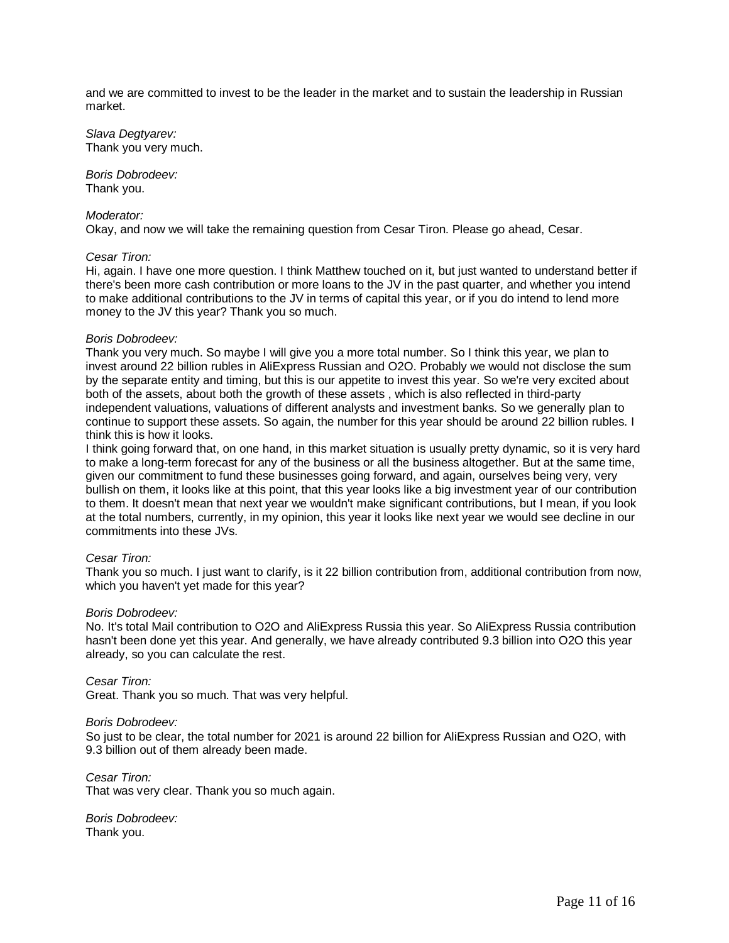and we are committed to invest to be the leader in the market and to sustain the leadership in Russian market.

*Slava Degtyarev:* Thank you very much.

*Boris Dobrodeev:* Thank you.

#### *Moderator:*

Okay, and now we will take the remaining question from Cesar Tiron. Please go ahead, Cesar.

#### *Cesar Tiron:*

Hi, again. I have one more question. I think Matthew touched on it, but just wanted to understand better if there's been more cash contribution or more loans to the JV in the past quarter, and whether you intend to make additional contributions to the JV in terms of capital this year, or if you do intend to lend more money to the JV this year? Thank you so much.

#### *Boris Dobrodeev:*

Thank you very much. So maybe I will give you a more total number. So I think this year, we plan to invest around 22 billion rubles in AliExpress Russian and O2O. Probably we would not disclose the sum by the separate entity and timing, but this is our appetite to invest this year. So we're very excited about both of the assets, about both the growth of these assets , which is also reflected in third-party independent valuations, valuations of different analysts and investment banks. So we generally plan to continue to support these assets. So again, the number for this year should be around 22 billion rubles. I think this is how it looks.

I think going forward that, on one hand, in this market situation is usually pretty dynamic, so it is very hard to make a long-term forecast for any of the business or all the business altogether. But at the same time, given our commitment to fund these businesses going forward, and again, ourselves being very, very bullish on them, it looks like at this point, that this year looks like a big investment year of our contribution to them. It doesn't mean that next year we wouldn't make significant contributions, but I mean, if you look at the total numbers, currently, in my opinion, this year it looks like next year we would see decline in our commitments into these JVs.

#### *Cesar Tiron:*

Thank you so much. I just want to clarify, is it 22 billion contribution from, additional contribution from now, which you haven't yet made for this year?

#### *Boris Dobrodeev:*

No. It's total Mail contribution to O2O and AliExpress Russia this year. So AliExpress Russia contribution hasn't been done yet this year. And generally, we have already contributed 9.3 billion into O2O this year already, so you can calculate the rest.

*Cesar Tiron:* Great. Thank you so much. That was very helpful.

#### *Boris Dobrodeev:*

So just to be clear, the total number for 2021 is around 22 billion for AliExpress Russian and O2O, with 9.3 billion out of them already been made.

*Cesar Tiron:* That was very clear. Thank you so much again.

*Boris Dobrodeev:* Thank you.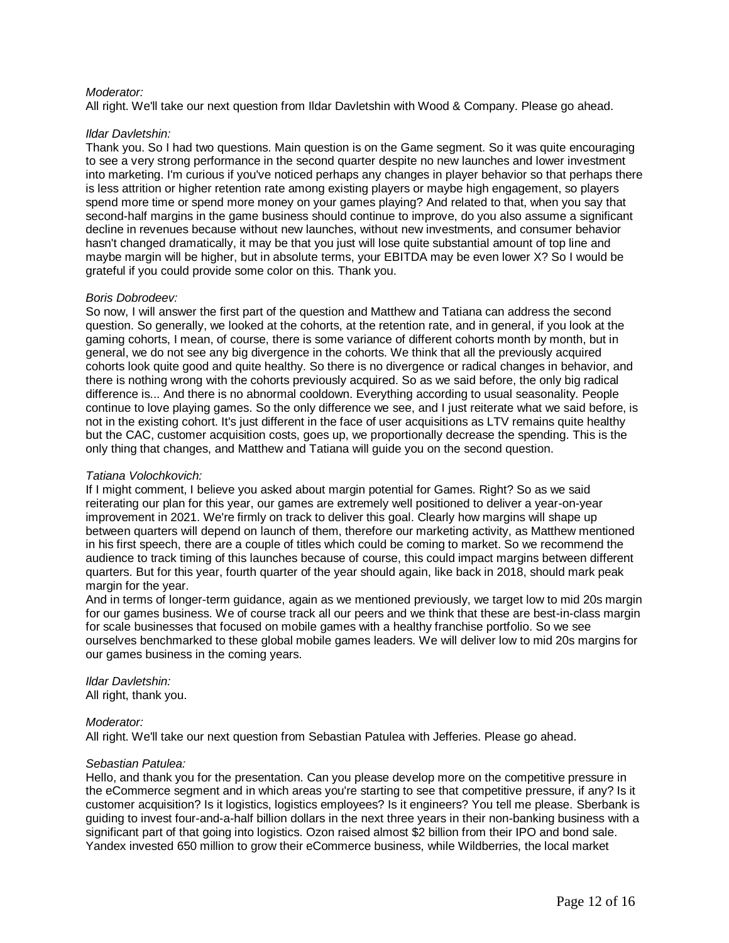#### *Moderator:*

All right. We'll take our next question from Ildar Davletshin with Wood & Company. Please go ahead.

#### *Ildar Davletshin:*

Thank you. So I had two questions. Main question is on the Game segment. So it was quite encouraging to see a very strong performance in the second quarter despite no new launches and lower investment into marketing. I'm curious if you've noticed perhaps any changes in player behavior so that perhaps there is less attrition or higher retention rate among existing players or maybe high engagement, so players spend more time or spend more money on your games playing? And related to that, when you say that second-half margins in the game business should continue to improve, do you also assume a significant decline in revenues because without new launches, without new investments, and consumer behavior hasn't changed dramatically, it may be that you just will lose quite substantial amount of top line and maybe margin will be higher, but in absolute terms, your EBITDA may be even lower X? So I would be grateful if you could provide some color on this. Thank you.

#### *Boris Dobrodeev:*

So now, I will answer the first part of the question and Matthew and Tatiana can address the second question. So generally, we looked at the cohorts, at the retention rate, and in general, if you look at the gaming cohorts, I mean, of course, there is some variance of different cohorts month by month, but in general, we do not see any big divergence in the cohorts. We think that all the previously acquired cohorts look quite good and quite healthy. So there is no divergence or radical changes in behavior, and there is nothing wrong with the cohorts previously acquired. So as we said before, the only big radical difference is... And there is no abnormal cooldown. Everything according to usual seasonality. People continue to love playing games. So the only difference we see, and I just reiterate what we said before, is not in the existing cohort. It's just different in the face of user acquisitions as LTV remains quite healthy but the CAC, customer acquisition costs, goes up, we proportionally decrease the spending. This is the only thing that changes, and Matthew and Tatiana will guide you on the second question.

#### *Tatiana Volochkovich:*

If I might comment, I believe you asked about margin potential for Games. Right? So as we said reiterating our plan for this year, our games are extremely well positioned to deliver a year-on-year improvement in 2021. We're firmly on track to deliver this goal. Clearly how margins will shape up between quarters will depend on launch of them, therefore our marketing activity, as Matthew mentioned in his first speech, there are a couple of titles which could be coming to market. So we recommend the audience to track timing of this launches because of course, this could impact margins between different quarters. But for this year, fourth quarter of the year should again, like back in 2018, should mark peak margin for the year.

And in terms of longer-term guidance, again as we mentioned previously, we target low to mid 20s margin for our games business. We of course track all our peers and we think that these are best-in-class margin for scale businesses that focused on mobile games with a healthy franchise portfolio. So we see ourselves benchmarked to these global mobile games leaders. We will deliver low to mid 20s margins for our games business in the coming years.

## *Ildar Davletshin:*

All right, thank you.

#### *Moderator:*

All right. We'll take our next question from Sebastian Patulea with Jefferies. Please go ahead.

#### *Sebastian Patulea:*

Hello, and thank you for the presentation. Can you please develop more on the competitive pressure in the eCommerce segment and in which areas you're starting to see that competitive pressure, if any? Is it customer acquisition? Is it logistics, logistics employees? Is it engineers? You tell me please. Sberbank is guiding to invest four-and-a-half billion dollars in the next three years in their non-banking business with a significant part of that going into logistics. Ozon raised almost \$2 billion from their IPO and bond sale. Yandex invested 650 million to grow their eCommerce business, while Wildberries, the local market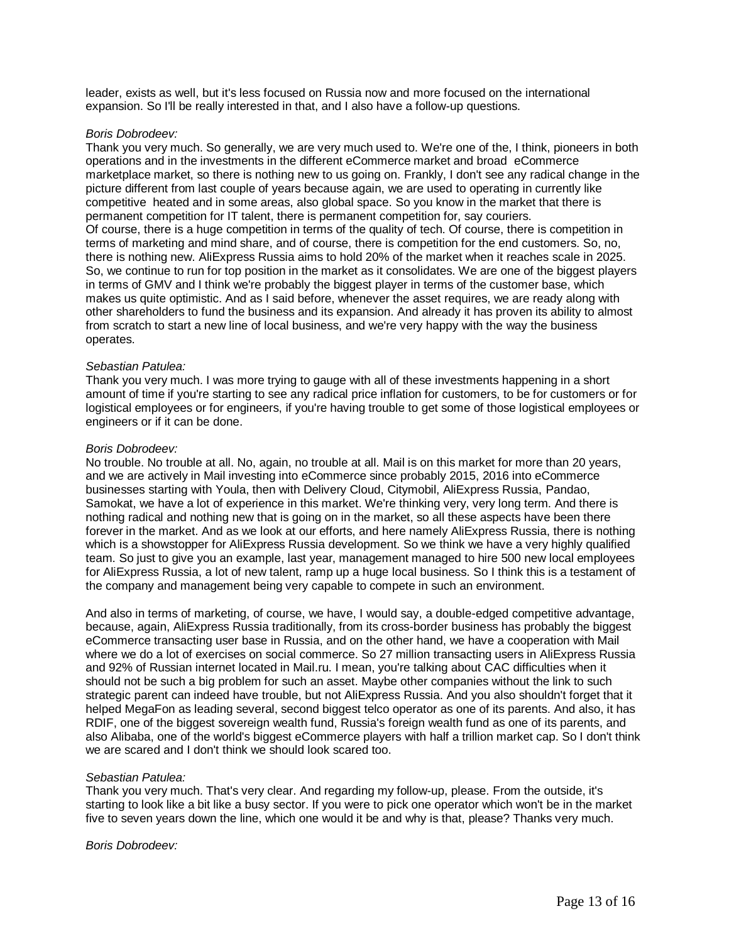leader, exists as well, but it's less focused on Russia now and more focused on the international expansion. So I'll be really interested in that, and I also have a follow-up questions.

#### *Boris Dobrodeev:*

Thank you very much. So generally, we are very much used to. We're one of the, I think, pioneers in both operations and in the investments in the different eCommerce market and broad eCommerce marketplace market, so there is nothing new to us going on. Frankly, I don't see any radical change in the picture different from last couple of years because again, we are used to operating in currently like competitive heated and in some areas, also global space. So you know in the market that there is permanent competition for IT talent, there is permanent competition for, say couriers. Of course, there is a huge competition in terms of the quality of tech. Of course, there is competition in terms of marketing and mind share, and of course, there is competition for the end customers. So, no, there is nothing new. AliExpress Russia aims to hold 20% of the market when it reaches scale in 2025. So, we continue to run for top position in the market as it consolidates. We are one of the biggest players in terms of GMV and I think we're probably the biggest player in terms of the customer base, which makes us quite optimistic. And as I said before, whenever the asset requires, we are ready along with other shareholders to fund the business and its expansion. And already it has proven its ability to almost from scratch to start a new line of local business, and we're very happy with the way the business operates.

#### *Sebastian Patulea:*

Thank you very much. I was more trying to gauge with all of these investments happening in a short amount of time if you're starting to see any radical price inflation for customers, to be for customers or for logistical employees or for engineers, if you're having trouble to get some of those logistical employees or engineers or if it can be done.

#### *Boris Dobrodeev:*

No trouble. No trouble at all. No, again, no trouble at all. Mail is on this market for more than 20 years, and we are actively in Mail investing into eCommerce since probably 2015, 2016 into eCommerce businesses starting with Youla, then with Delivery Cloud, Citymobil, AliExpress Russia, Pandao, Samokat, we have a lot of experience in this market. We're thinking very, very long term. And there is nothing radical and nothing new that is going on in the market, so all these aspects have been there forever in the market. And as we look at our efforts, and here namely AliExpress Russia, there is nothing which is a showstopper for AliExpress Russia development. So we think we have a very highly qualified team. So just to give you an example, last year, management managed to hire 500 new local employees for AliExpress Russia, a lot of new talent, ramp up a huge local business. So I think this is a testament of the company and management being very capable to compete in such an environment.

And also in terms of marketing, of course, we have, I would say, a double-edged competitive advantage, because, again, AliExpress Russia traditionally, from its cross-border business has probably the biggest eCommerce transacting user base in Russia, and on the other hand, we have a cooperation with Mail where we do a lot of exercises on social commerce. So 27 million transacting users in AliExpress Russia and 92% of Russian internet located in Mail.ru. I mean, you're talking about CAC difficulties when it should not be such a big problem for such an asset. Maybe other companies without the link to such strategic parent can indeed have trouble, but not AliExpress Russia. And you also shouldn't forget that it helped MegaFon as leading several, second biggest telco operator as one of its parents. And also, it has RDIF, one of the biggest sovereign wealth fund, Russia's foreign wealth fund as one of its parents, and also Alibaba, one of the world's biggest eCommerce players with half a trillion market cap. So I don't think we are scared and I don't think we should look scared too.

#### *Sebastian Patulea:*

Thank you very much. That's very clear. And regarding my follow-up, please. From the outside, it's starting to look like a bit like a busy sector. If you were to pick one operator which won't be in the market five to seven years down the line, which one would it be and why is that, please? Thanks very much.

#### *Boris Dobrodeev:*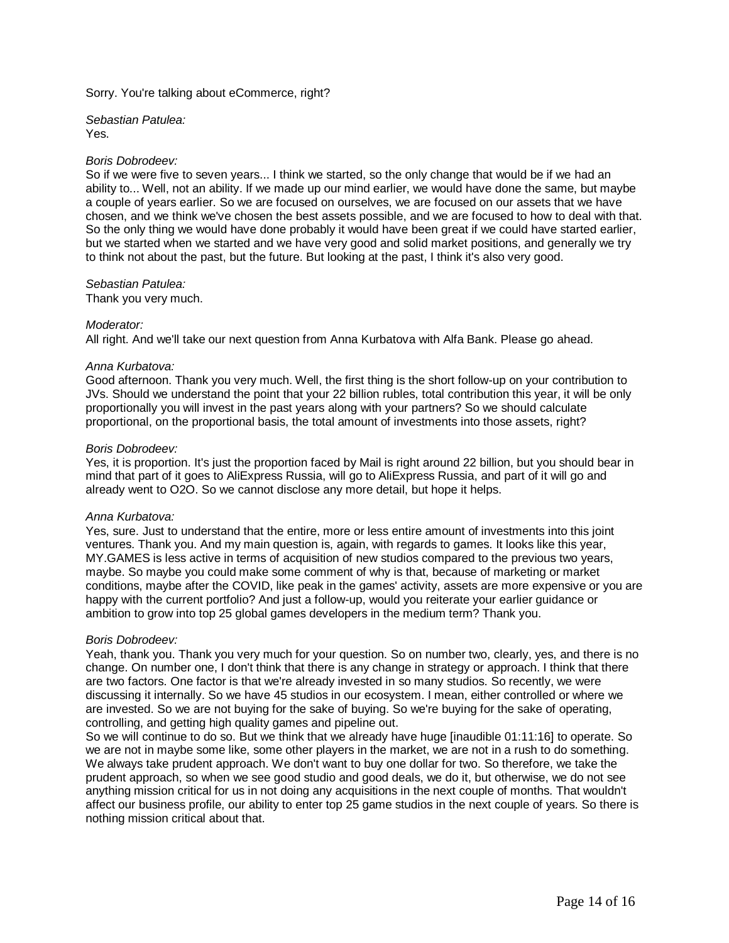Sorry. You're talking about eCommerce, right?

*Sebastian Patulea:* Yes.

#### *Boris Dobrodeev:*

So if we were five to seven years... I think we started, so the only change that would be if we had an ability to... Well, not an ability. If we made up our mind earlier, we would have done the same, but maybe a couple of years earlier. So we are focused on ourselves, we are focused on our assets that we have chosen, and we think we've chosen the best assets possible, and we are focused to how to deal with that. So the only thing we would have done probably it would have been great if we could have started earlier, but we started when we started and we have very good and solid market positions, and generally we try to think not about the past, but the future. But looking at the past, I think it's also very good.

*Sebastian Patulea:*

Thank you very much.

#### *Moderator:*

All right. And we'll take our next question from Anna Kurbatova with Alfa Bank. Please go ahead.

#### *Anna Kurbatova:*

Good afternoon. Thank you very much. Well, the first thing is the short follow-up on your contribution to JVs. Should we understand the point that your 22 billion rubles, total contribution this year, it will be only proportionally you will invest in the past years along with your partners? So we should calculate proportional, on the proportional basis, the total amount of investments into those assets, right?

#### *Boris Dobrodeev:*

Yes, it is proportion. It's just the proportion faced by Mail is right around 22 billion, but you should bear in mind that part of it goes to AliExpress Russia, will go to AliExpress Russia, and part of it will go and already went to O2O. So we cannot disclose any more detail, but hope it helps.

#### *Anna Kurbatova:*

Yes, sure. Just to understand that the entire, more or less entire amount of investments into this joint ventures. Thank you. And my main question is, again, with regards to games. It looks like this year, MY.GAMES is less active in terms of acquisition of new studios compared to the previous two years, maybe. So maybe you could make some comment of why is that, because of marketing or market conditions, maybe after the COVID, like peak in the games' activity, assets are more expensive or you are happy with the current portfolio? And just a follow-up, would you reiterate your earlier guidance or ambition to grow into top 25 global games developers in the medium term? Thank you.

#### *Boris Dobrodeev:*

Yeah, thank you. Thank you very much for your question. So on number two, clearly, yes, and there is no change. On number one, I don't think that there is any change in strategy or approach. I think that there are two factors. One factor is that we're already invested in so many studios. So recently, we were discussing it internally. So we have 45 studios in our ecosystem. I mean, either controlled or where we are invested. So we are not buying for the sake of buying. So we're buying for the sake of operating, controlling, and getting high quality games and pipeline out.

So we will continue to do so. But we think that we already have huge [inaudible 01:11:16] to operate. So we are not in maybe some like, some other players in the market, we are not in a rush to do something. We always take prudent approach. We don't want to buy one dollar for two. So therefore, we take the prudent approach, so when we see good studio and good deals, we do it, but otherwise, we do not see anything mission critical for us in not doing any acquisitions in the next couple of months. That wouldn't affect our business profile, our ability to enter top 25 game studios in the next couple of years. So there is nothing mission critical about that.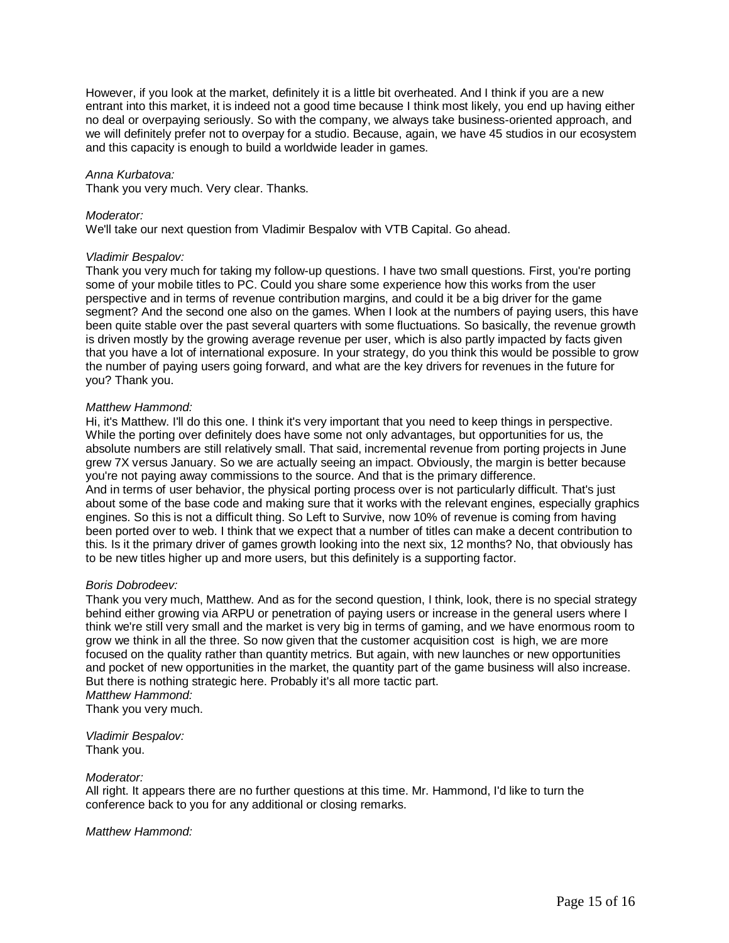However, if you look at the market, definitely it is a little bit overheated. And I think if you are a new entrant into this market, it is indeed not a good time because I think most likely, you end up having either no deal or overpaying seriously. So with the company, we always take business-oriented approach, and we will definitely prefer not to overpay for a studio. Because, again, we have 45 studios in our ecosystem and this capacity is enough to build a worldwide leader in games.

#### *Anna Kurbatova:*

Thank you very much. Very clear. Thanks.

#### *Moderator:*

We'll take our next question from Vladimir Bespalov with VTB Capital. Go ahead.

#### *Vladimir Bespalov:*

Thank you very much for taking my follow-up questions. I have two small questions. First, you're porting some of your mobile titles to PC. Could you share some experience how this works from the user perspective and in terms of revenue contribution margins, and could it be a big driver for the game segment? And the second one also on the games. When I look at the numbers of paying users, this have been quite stable over the past several quarters with some fluctuations. So basically, the revenue growth is driven mostly by the growing average revenue per user, which is also partly impacted by facts given that you have a lot of international exposure. In your strategy, do you think this would be possible to grow the number of paying users going forward, and what are the key drivers for revenues in the future for you? Thank you.

#### *Matthew Hammond:*

Hi, it's Matthew. I'll do this one. I think it's very important that you need to keep things in perspective. While the porting over definitely does have some not only advantages, but opportunities for us, the absolute numbers are still relatively small. That said, incremental revenue from porting projects in June grew 7X versus January. So we are actually seeing an impact. Obviously, the margin is better because you're not paying away commissions to the source. And that is the primary difference. And in terms of user behavior, the physical porting process over is not particularly difficult. That's just about some of the base code and making sure that it works with the relevant engines, especially graphics engines. So this is not a difficult thing. So Left to Survive, now 10% of revenue is coming from having been ported over to web. I think that we expect that a number of titles can make a decent contribution to this. Is it the primary driver of games growth looking into the next six, 12 months? No, that obviously has to be new titles higher up and more users, but this definitely is a supporting factor.

#### *Boris Dobrodeev:*

Thank you very much, Matthew. And as for the second question, I think, look, there is no special strategy behind either growing via ARPU or penetration of paying users or increase in the general users where I think we're still very small and the market is very big in terms of gaming, and we have enormous room to grow we think in all the three. So now given that the customer acquisition cost is high, we are more focused on the quality rather than quantity metrics. But again, with new launches or new opportunities and pocket of new opportunities in the market, the quantity part of the game business will also increase. But there is nothing strategic here. Probably it's all more tactic part. *Matthew Hammond:*

Thank you very much.

*Vladimir Bespalov:* Thank you.

#### *Moderator:*

All right. It appears there are no further questions at this time. Mr. Hammond, I'd like to turn the conference back to you for any additional or closing remarks.

*Matthew Hammond:*